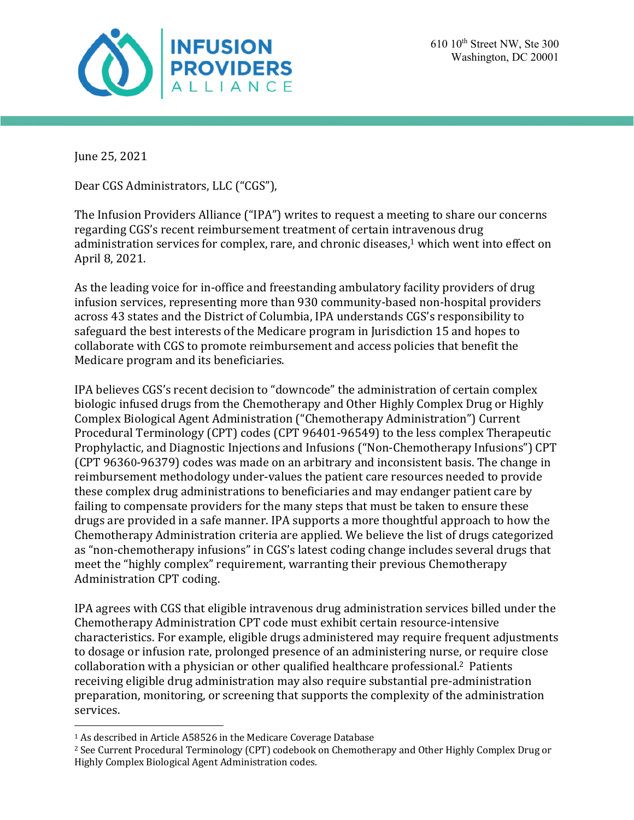

June 25, 2021

Dear CGS Administrators, LLC ("CGS"),

The Infusion Providers Alliance ("IPA") writes to request a meeting to share our concerns regarding CGS's recent reimbursement treatment of certain intravenous drug administration services for complex, rare, and chronic diseases,<sup>1</sup> which went into effect on April 8, 2021.

As the leading voice for in-office and freestanding ambulatory facility providers of drug infusion services, representing more than 930 community-based non-hospital providers across 43 states and the District of Columbia, IPA understands CGS's responsibility to safeguard the best interests of the Medicare program in Jurisdiction 15 and hopes to collaborate with CGS to promote reimbursement and access policies that benefit the Medicare program and its beneficiaries.

IPA believes CGS's recent decision to "downcode" the administration of certain complex biologic infused drugs from the Chemotherapy and Other Highly Complex Drug or Highly Complex Biological Agent Administration ("Chemotherapy Administration") Current Procedural Terminology (CPT) codes (CPT 96401-96549) to the less complex Therapeutic Prophylactic, and Diagnostic Injections and Infusions ("Non-Chemotherapy Infusions") CPT (CPT 96360-96379) codes was made on an arbitrary and inconsistent basis. The change in reimbursement methodology under-values the patient care resources needed to provide these complex drug administrations to beneficiaries and may endanger patient care by failing to compensate providers for the many steps that must be taken to ensure these drugs are provided in a safe manner. IPA supports a more thoughtful approach to how the Chemotherapy Administration criteria are applied. We believe the list of drugs categorized as "non-chemotherapy infusions" in CGS's latest coding change includes several drugs that meet the "highly complex" requirement, warranting their previous Chemotherapy Administration CPT coding.

IPA agrees with CGS that eligible intravenous drug administration services billed under the Chemotherapy Administration CPT code must exhibit certain resource-intensive characteristics. For example, eligible drugs administered may require frequent adjustments to dosage or infusion rate, prolonged presence of an administering nurse, or require close collaboration with a physician or other qualified healthcare professional.<sup>2</sup> Patients receiving eligible drug administration may also require substantial pre-administration preparation, monitoring, or screening that supports the complexity of the administration services.

<sup>&</sup>lt;sup>1</sup> As described in Article A58526 in the Medicare Coverage Database

<sup>&</sup>lt;sup>2</sup> See Current Procedural Terminology (CPT) codebook on Chemotherapy and Other Highly Complex Drug or Highly Complex Biological Agent Administration codes.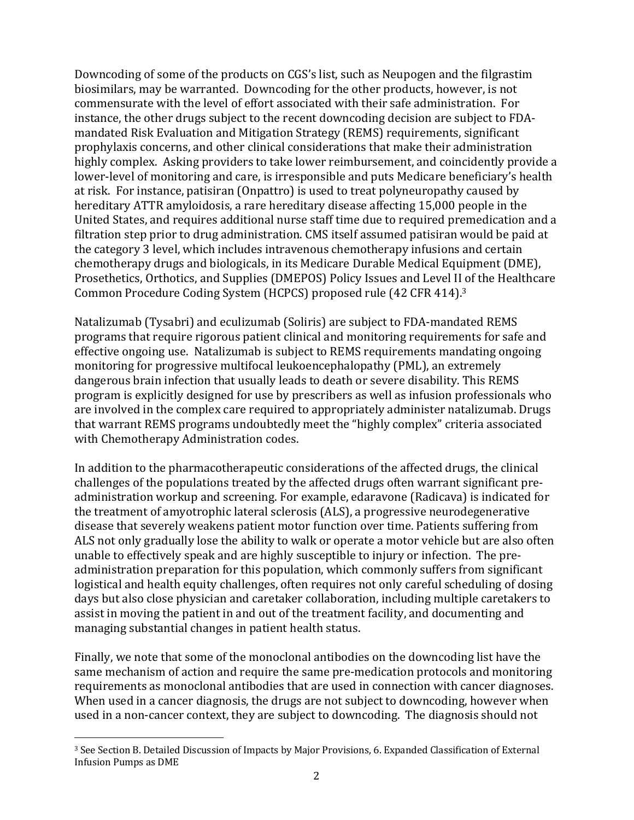Downcoding of some of the products on CGS's list, such as Neupogen and the filgrastim biosimilars, may be warranted. Downcoding for the other products, however, is not commensurate with the level of effort associated with their safe administration. For instance, the other drugs subject to the recent downcoding decision are subject to FDAmandated Risk Evaluation and Mitigation Strategy (REMS) requirements, significant prophylaxis concerns, and other clinical considerations that make their administration highly complex. Asking providers to take lower reimbursement, and coincidently provide a lower-level of monitoring and care, is irresponsible and puts Medicare beneficiary's health at risk. For instance, patisiran (Onpattro) is used to treat polyneuropathy caused by hereditary ATTR amyloidosis, a rare hereditary disease affecting 15,000 people in the United States, and requires additional nurse staff time due to required premedication and a filtration step prior to drug administration. CMS itself assumed patisiran would be paid at the category 3 level, which includes intravenous chemotherapy infusions and certain chemotherapy drugs and biologicals, in its Medicare Durable Medical Equipment (DME), Prosethetics, Orthotics, and Supplies (DMEPOS) Policy Issues and Level II of the Healthcare Common Procedure Coding System (HCPCS) proposed rule (42 CFR 414).<sup>3</sup>

Natalizumab (Tysabri) and eculizumab (Soliris) are subject to FDA-mandated REMS programs that require rigorous patient clinical and monitoring requirements for safe and effective ongoing use. Natalizumab is subject to REMS requirements mandating ongoing monitoring for progressive multifocal leukoencephalopathy (PML), an extremely dangerous brain infection that usually leads to death or severe disability. This REMS program is explicitly designed for use by prescribers as well as infusion professionals who are involved in the complex care required to appropriately administer natalizumab. Drugs that warrant REMS programs undoubtedly meet the "highly complex" criteria associated with Chemotherapy Administration codes.

In addition to the pharmacotherapeutic considerations of the affected drugs, the clinical challenges of the populations treated by the affected drugs often warrant significant preadministration workup and screening. For example, edaravone (Radicava) is indicated for the treatment of amyotrophic lateral sclerosis (ALS), a progressive neurodegenerative disease that severely weakens patient motor function over time. Patients suffering from ALS not only gradually lose the ability to walk or operate a motor vehicle but are also often unable to effectively speak and are highly susceptible to injury or infection. The preadministration preparation for this population, which commonly suffers from significant logistical and health equity challenges, often requires not only careful scheduling of dosing days but also close physician and caretaker collaboration, including multiple caretakers to assist in moving the patient in and out of the treatment facility, and documenting and managing substantial changes in patient health status.

Finally, we note that some of the monoclonal antibodies on the downcoding list have the same mechanism of action and require the same pre-medication protocols and monitoring requirements as monoclonal antibodies that are used in connection with cancer diagnoses. When used in a cancer diagnosis, the drugs are not subject to downcoding, however when used in a non-cancer context, they are subject to downcoding. The diagnosis should not

<sup>&</sup>lt;sup>3</sup> See Section B. Detailed Discussion of Impacts by Major Provisions, 6. Expanded Classification of External Infusion Pumps as DME